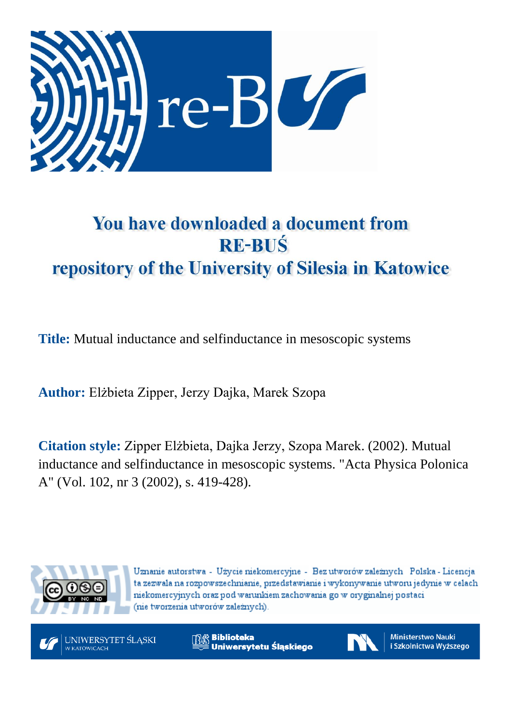

# You have downloaded a document from **RE-BUŚ** repository of the University of Silesia in Katowice

**Title:** Mutual inductance and selfinductance in mesoscopic systems

**Author:** Elżbieta Zipper, Jerzy Dajka, Marek Szopa

**Citation style:** Zipper Elżbieta, Dajka Jerzy, Szopa Marek. (2002). Mutual inductance and selfinductance in mesoscopic systems. "Acta Physica Polonica A" (Vol. 102, nr 3 (2002), s. 419-428).



Uznanie autorstwa - Użycie niekomercyjne - Bez utworów zależnych Polska - Licencja ta zezwala na rozpowszechnianie, przedstawianie i wykonywanie utworu jedynie w celach niekomercyjnych oraz pod warunkiem zachowania go w oryginalnej postaci (nie tworzenia utworów zależnych).



**Biblioteka** Uniwersytetu Śląskiego



**Ministerstwo Nauki** i Szkolnictwa Wyższego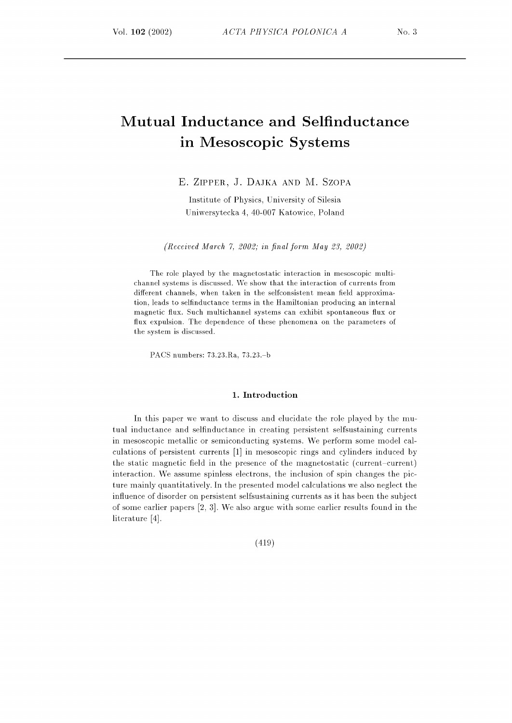# Mutual Inductance and Selfinductance in Mesoscopic Systems

E. ZIPPER, J. DAJKA AND M. SZOPA

Institute of Physics, University of Silesia Uniwersytecka 4, 40-007 Katowice, Poland

(Received March 7, 2002; in final form May 23, 2002)

The role played by the magnetostatic interaction in mesoscopic multichannel systems is discussed . We show that the interaction of currents from different channels, when taken in the selfconsistent mean field approximation, leads to selfinductance terms in the Hamiltonian producing an internal magnetic flux. Such multichannel systems can exhibit spontaneous flux or flux expulsion. The dependence of these phenomena on the parameters of the system is discussed.

PACS numbers: 73.23.Ra, 73.23.-b

#### 1. Introduction

In this paper we want to discuss and elucidate the role played by the mutual inductance and selfinductance in creating persistent selfsustaining currents in mesoscopic metallic or semiconducting systems. We perform some model calculations of persistent currents [1] in mesoscopic rings and cylinders induced by the static magnetic field in the presence of the magnetostatic (current-current) interaction. We assume spinless electrons, the inclusion of spin changes the picture mainly quantitatively. In the presented model calculations we also neglect the influence of disorder on persistent selfsustaining currents as it has been the subject of some earlier papers  $[2, 3]$ . We also argue with some earlier results found in the literature  $[4]$ .

(419)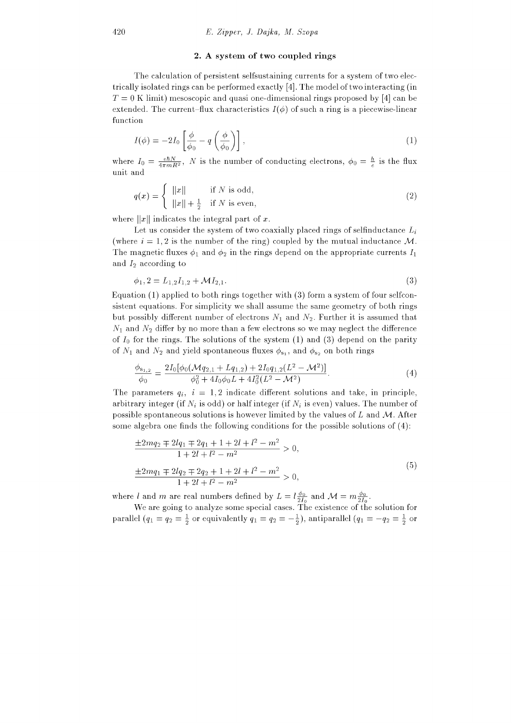### 2. A system of two coupled rings

The calculation of persistent selfsustaining currents for a system of two electrically isolated rings can be performed exactly [4]. The model of two interacting (in  $T = 0$  K limit) mesoscopic and quasi one-dimensional rings proposed by [4] can be extended. The current-flux characteristics  $I(\phi)$  of such a ring is a piecewise-linear function

$$
I(\phi) = -2I_0 \left[ \frac{\phi}{\phi_0} - q \left( \frac{\phi}{\phi_0} \right) \right],
$$
\n(1)

where  $I_0 = \frac{e\hbar N}{4\pi mR^2}$ , N is the number of conducting electrons,  $\phi_0 = \frac{\hbar}{e}$  is the flux unit and

$$
q(x) = \begin{cases} ||x|| & \text{if } N \text{ is odd,} \\ ||x|| + \frac{1}{2} & \text{if } N \text{ is even,} \end{cases}
$$
 (2)

where  $||x||$  indicates the integral part of x.

Let us consider the system of two coaxially placed rings of selfinductance  $L_i$ (where  $i = 1, 2$  is the number of the ring) coupled by the mutual inductance M. The magnetic fluxes  $\phi_1$  and  $\phi_2$  in the rings depend on the appropriate currents  $I_1$ and  $I_2$  according to

$$
\phi_1, 2 = L_{1,2}I_{1,2} + \mathcal{M}I_{2,1}.\tag{3}
$$

Equation  $(1)$  applied to both rings together with  $(3)$  form a system of four selfconsistent equations. For simplicity we shall assume the same geometry of both rings but possibly different number of electrons  $N_1$  and  $N_2$ . Further it is assumed that  $N_1$  and  $N_2$  differ by no more than a few electrons so we may neglect the difference of  $I_0$  for the rings. The solutions of the system (1) and (3) depend on the parity of  $N_1$  and  $N_2$  and yield spontaneous fluxes  $\phi_{s_1}$ , and  $\phi_{s_2}$  on both rings

$$
\frac{\phi_{s_{1,2}}}{\phi_0} = \frac{2I_0[\phi_0(\mathcal{M}q_{2,1} + Lq_{1,2}) + 2I_0q_{1,2}(L^2 - \mathcal{M}^2)]}{\phi_0^2 + 4I_0\phi_0L + 4I_0^2(L^2 - \mathcal{M}^2)}.
$$
\n(4)

The parameters  $q_i$ ,  $i = 1, 2$  indicate different solutions and take, in principle, arbitrary integer (if  $N_i$  is odd) or half integer (if  $N_i$  is even) values. The number of possible spontaneous solutions is however limited by the values of L and  $M$ . After some algebra one finds the following conditions for the possible solutions of  $(4)$ :

$$
\frac{\pm 2mq_2 \mp 2lq_1 \mp 2q_1 + 1 + 2l + l^2 - m^2}{1 + 2l + l^2 - m^2} > 0,
$$
  

$$
\frac{\pm 2mq_1 \mp 2lq_2 \mp 2q_2 + 1 + 2l + l^2 - m^2}{1 + 2l + l^2 - m^2} > 0,
$$
  
(5)

where l and m are real numbers defined by  $L = l \frac{\phi_0}{2I_0}$  and  $\mathcal{M} = m \frac{\phi_0}{2I_0}$ .

We are going to analyze some special cases. The existence of the solution for parallel  $(q_1 = q_2 = \frac{1}{2}$  or equivalently  $q_1 = q_2 = -\frac{1}{2}$ , antiparallel  $(q_1 = -q_2 = \frac{1}{2}$  or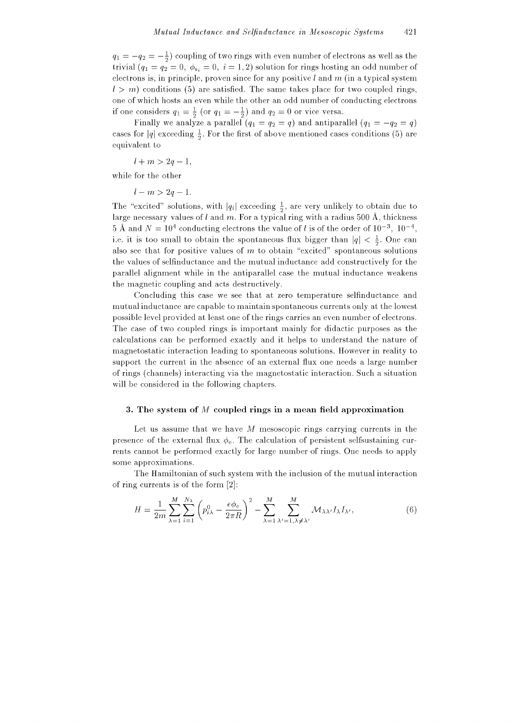$q_1 = -q_2 = -\frac{1}{2}$  coupling of two rings with even number of electrons as well as the trivial  $(q_1 = q_2 = 0, \phi_{s_i} = 0, i = 1, 2)$  solution for rings hosting an odd number of electrons is, in principle, proven since for any positive  $l$  and  $m$  (in a typical system  $l > m$ ) conditions (5) are satisfied. The same takes place for two coupled rings, one of which hosts an even while the other an odd number of conducting electrons if one considers  $q_1 = \frac{1}{2}$  (or  $q_1 = -\frac{1}{2}$ ) and  $q_2 = 0$  or vice versa.

Finally we analyze a parallel  $(q_1 = q_2 = q)$  and antiparallel  $(q_1 = -q_2 = q)$ cases for  $|q|$  exceeding  $\frac{1}{2}$ . For the first of above mentioned cases conditions (5) are equivalent to

 $l + m > 2q - 1$ ,

while for the other

 $l - m > 2q - 1.$ 

The "excited" solutions, with  $|q_i|$  exceeding  $\frac{1}{2}$ , are very unlikely to obtain due to large necessary values of l and m. For a typical ring with a radius 500 Å, thickness 5 Å and  $N = 10^4$  conducting electrons the value of l is of the order of  $10^{-3}$ ,  $10^{-4}$ , i.e. it is too small to obtain the spontaneous flux bigger than  $|q| < \frac{1}{2}$ . One can also see that for positive values of  $m$  to obtain "excited" spontaneous solutions the values of selfinductance and the mutual inductance add constructively for the parallel alignment while in the antiparallel case the mutual inductance weakens the magnetic coupling and acts destructively.

Concluding this case we see that at zero temperature selfinductance and mutual inductance are capable to maintain spontaneous currents only at the lowest possible level provided at least one of the rings carries an even number of electrons. The case of two coupled rings is important mainly for didactic purposes as the calculations can be performed exactly and it helps to understand the nature of magnetostatic interaction leading to spontaneous solutions. However in reality to support the current in the absence of an external flux one needs a large number of rings (channels) interacting via the magnetostatic interaction. Such a situation will be considered in the following chapters.

#### 3. The system of  $M$  coupled rings in a mean field approximation

Let us assume that we have  $M$  mesoscopic rings carrying currents in the presence of the external flux  $\phi_e$ . The calculation of persistent selfs ustaining currents cannot be performed exactly for large number of rings. One needs to apply some approximations.

The Hamiltonian of such system with the inclusion of the mutual interaction of ring currents is of the form  $[2]$ :

$$
H = \frac{1}{2m} \sum_{\lambda=1}^{M} \sum_{i=1}^{N_{\lambda}} \left( p_{i\lambda}^{0} - \frac{e\phi_{\rm e}}{2\pi R} \right)^{2} - \sum_{\lambda=1}^{M} \sum_{\lambda'=1,\lambda \neq \lambda'}^{M} \mathcal{M}_{\lambda\lambda'} I_{\lambda} I_{\lambda'}, \tag{6}
$$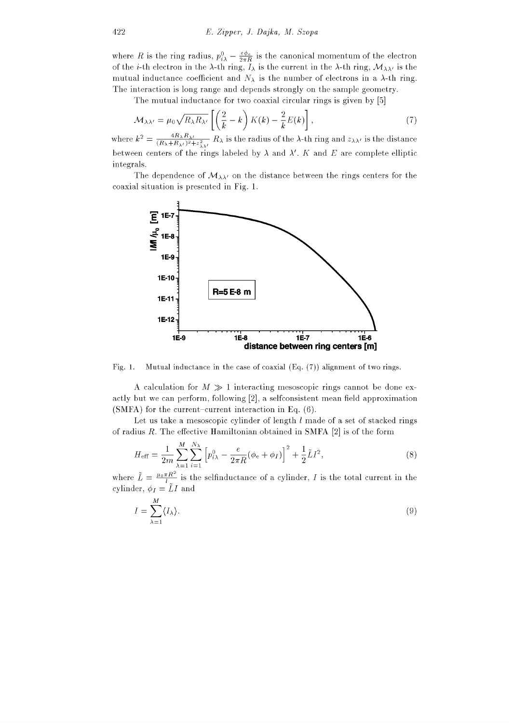where R is the ring radius,  $p_{i\lambda}^0 - \frac{e\phi_e}{2\pi R}$  is the canonical momentum of the electron of the *i*-th electron in the  $\lambda$ -th ring,  $I_{\lambda}$  is the current in the  $\lambda$ -th ring,  $\mathcal{M}_{\lambda\lambda'}$  is the mutual inductance coefficient and  $N_{\lambda}$  is the number of electrons in a  $\lambda$ -th ring. The interaction is long range and depends strongly on the sample geometry.

The mutual inductance for two coaxial circular rings is given by [5]

$$
\mathcal{M}_{\lambda\lambda'} = \mu_0 \sqrt{R_{\lambda} R_{\lambda'}} \left[ \left( \frac{2}{k} - k \right) K(k) - \frac{2}{k} E(k) \right], \tag{7}
$$

where  $k^2 = \frac{4R_\lambda R_\lambda}{(B_1 + B_2)^2}$  $\frac{4R_{\lambda}R_{\lambda'}}{(R_{\lambda}+R_{\lambda'})^2+z_{\lambda\lambda'}^2}R_{\lambda}$  is the radius of the  $\lambda$ -th ring and  $z_{\lambda\lambda'}$  is the distance between centers of the rings labeled by  $\lambda$  and  $\lambda'$ . K and E are complete elliptic integrals.

The dependence of  $\mathcal{M}_{\lambda\lambda'}$  on the distance between the rings centers for the coaxial situation is presented in Fig. 1.



Fig. 1. Mutual inductance in the case of coaxial  $(Eq. (7))$  alignment of two rings.

A calculation for  $M \gg 1$  interacting mesoscopic rings cannot be done exactly but we can perform, following  $[2]$ , a selfconsistent mean field approximation (SMFA) for the current-current interaction in Eq.  $(6)$ .

Let us take a mesoscopic cylinder of length  $l$  made of a set of stacked rings of radius  $R$ . The effective Hamiltonian obtained in SMFA [2] is of the form

$$
H_{\text{eff}} = \frac{1}{2m} \sum_{\lambda=1}^{M} \sum_{i=1}^{N_{\lambda}} \left[ p_{i\lambda}^{0} - \frac{e}{2\pi R} (\phi_{e} + \phi_{I}) \right]^{2} + \frac{1}{2} \tilde{L} I^{2}, \qquad (8)
$$

where  $\tilde{L} = \frac{\mu_0 \pi R^2}{l}$  $\frac{\pi R^2}{l}$  is the selfinductance of a cylinder, I is the total current in the cylinder,  $\phi_I = \tilde{L}I$  and

$$
I = \sum_{\lambda=1}^{M} \langle I_{\lambda} \rangle.
$$
 (9)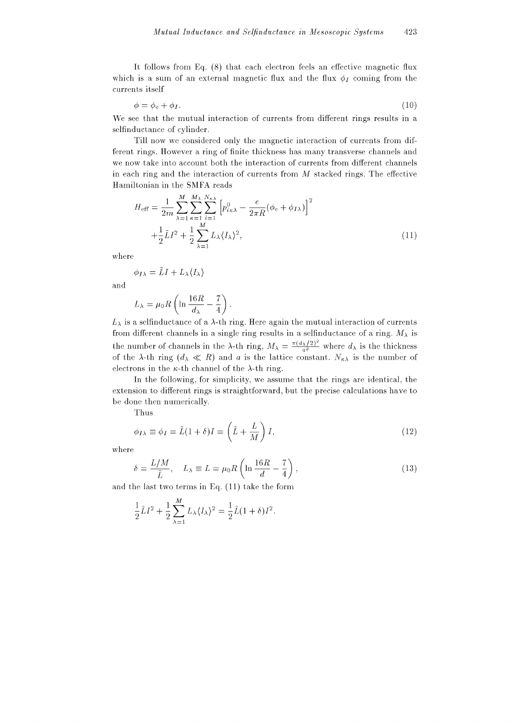It follows from Eq. (8) that each electron feels an effective magnetic flux which is a sum of an external magnetic flux and the flux  $\phi_I$  coming from the currents itself

$$
\phi = \phi_{\rm e} + \phi_I. \tag{10}
$$

We see that the mutual interaction of currents from different rings results in a selfinductance of cylinder.

Till now we considered only the magnetic interaction of currents from different rings. However a ring of finite thickness has many transverse channels and we now take into account both the interaction of currents from different channels in each ring and the interaction of currents from  $M$  stacked rings. The effective Hamiltonian in the SMFA reads

$$
H_{\text{eff}} = \frac{1}{2m} \sum_{\lambda=1}^{M} \sum_{\kappa=1}^{M_{\lambda}} \sum_{i=1}^{N_{\kappa\lambda}} \left[ p_{i\kappa\lambda}^{0} - \frac{e}{2\pi R} (\phi_{\text{e}} + \phi_{I\lambda}) \right]^{2}
$$

$$
+ \frac{1}{2} \tilde{L} I^{2} + \frac{1}{2} \sum_{\lambda=1}^{M} L_{\lambda} \langle I_{\lambda} \rangle^{2}, \tag{11}
$$

where

$$
\phi_{I\lambda} = \tilde{L}I + L_{\lambda}\langle I_{\lambda}\rangle
$$

and

$$
L_{\lambda} = \mu_0 R \left( \ln \frac{16R}{d_{\lambda}} - \frac{7}{4} \right)
$$

 $L_{\lambda}$  is a selfinductance of a  $\lambda$ -th ring. Here again the mutual interaction of currents from different channels in a single ring results in a selfinductance of a ring.  $M_{\lambda}$  is the number of channels in the  $\lambda$ -th ring,  $M_{\lambda} = \frac{\pi (d_{\lambda}/2)^2}{a^2}$  where  $d_{\lambda}$  is the thickness of the  $\lambda$ -th ring  $(d_{\lambda} \ll R)$  and a is the lattice constant.  $N_{\kappa\lambda}$  is the number of electrons in the  $\kappa$ -th channel of the  $\lambda$ -th ring.

In the following, for simplicity, we assume that the rings are identical, the extension to different rings is straightforward, but the precise calculations have to be done then numerically.

Thus

$$
\phi_{I\lambda} \equiv \phi_I = \tilde{L}(1+\delta)I = \left(\tilde{L} + \frac{L}{M}\right)I,\tag{12}
$$

where

$$
\delta = \frac{L/M}{\tilde{L}}, \quad L_{\lambda} \equiv L = \mu_0 R \left( \ln \frac{16R}{d} - \frac{7}{4} \right), \tag{13}
$$

and the last two terms in Eq.  $(11)$  take the form

$$
\frac{1}{2}\tilde{L}I^2 + \frac{1}{2}\sum_{\lambda=1}^M L_{\lambda} \langle I_{\lambda} \rangle^2 = \frac{1}{2}\tilde{L}(1+\delta)I^2.
$$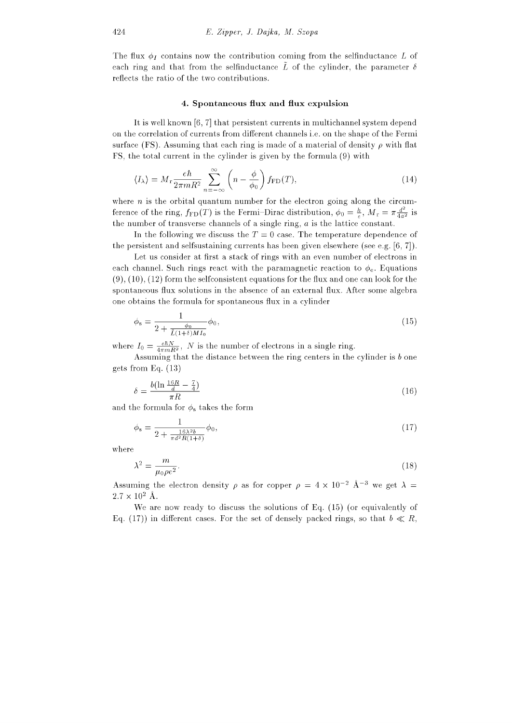The flux  $\phi_I$  contains now the contribution coming from the selfinductance L of each ring and that from the selfinductance  $\tilde{L}$  of the cylinder, the parameter  $\delta$ reflects the ratio of the two contributions.

#### 4. Spontaneous flux and flux expulsion

It is well known [6, 7] that persistent currents in multichannel system depend on the correlation of currents from different channels *i.e.* on the shape of the Fermi surface (FS). Assuming that each ring is made of a material of density  $\rho$  with flat FS, the total current in the cylinder is given by the formula (9) with

$$
\langle I_{\lambda} \rangle = M_{\rm r} \frac{e\hbar}{2\pi m R^2} \sum_{n=-\infty}^{\infty} \left( n - \frac{\phi}{\phi_0} \right) f_{\rm FD}(T),\tag{14}
$$

where  $n$  is the orbital quantum number for the electron going along the circumference of the ring,  $f_{FD}(T)$  is the Fermi-Dirac distribution,  $\phi_0 = \frac{h}{e}$ ,  $M_r = \pi \frac{d^2}{4a^2}$  is the number of transverse channels of a single ring,  $a$  is the lattice constant.

In the following we discuss the  $T=0$  case. The temperature dependence of the persistent and selfsustaining currents has been given elsewhere (see e.g.  $(6, 7)$ ).

Let us consider at first a stack of rings with an even number of electrons in each channel. Such rings react with the paramagnetic reaction to  $\phi_e$ . Equations  $(9)$ ,  $(10)$ ,  $(12)$  form the selfconsistent equations for the flux and one can look for the spontaneous flux solutions in the absence of an external flux. After some algebra one obtains the formula for spontaneous flux in a cylinder

$$
\phi_{\rm s} = \frac{1}{2 + \frac{\phi_0}{\tilde{L}(1+\delta)M I_0}} \phi_0,\tag{15}
$$

where  $I_0 = \frac{e\hbar N}{4\pi m R^2}$ , N is the number of electrons in a single ring.

Assuming that the distance between the ring centers in the cylinder is  $b$  one gets from Eq.  $(13)$ 

$$
\delta = \frac{b(\ln \frac{16R}{d} - \frac{7}{4})}{\pi R} \tag{16}
$$

and the formula for  $\phi_s$  takes the form

$$
\phi_{s} = \frac{1}{2 + \frac{16\lambda^{2}b}{\pi d^{2}R(1+\delta)}}\phi_{0},\tag{17}
$$

where

$$
\lambda^2 = \frac{m}{\mu_0 \rho e^2}.\tag{18}
$$

Assuming the electron density  $\rho$  as for copper  $\rho = 4 \times 10^{-2}$  Å<sup>-3</sup> we get  $\lambda =$  $2.7 \times 10^2$  Å.

We are now ready to discuss the solutions of Eq.  $(15)$  (or equivalently of Eq. (17)) in different cases. For the set of densely packed rings, so that  $b \ll R$ ,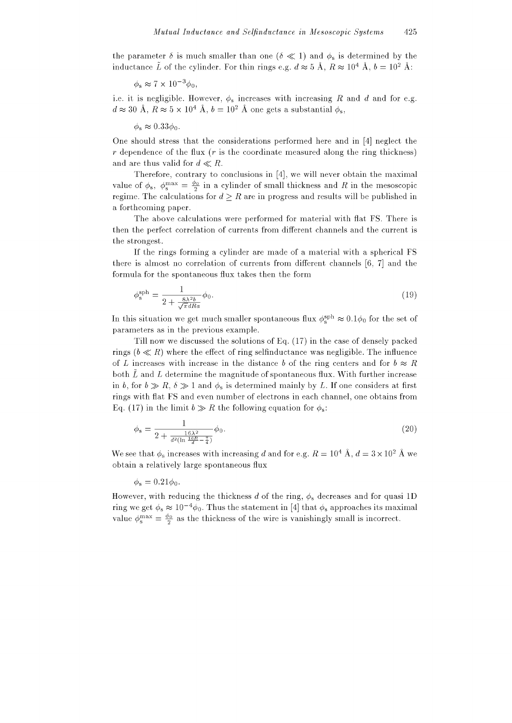the parameter  $\delta$  is much smaller than one ( $\delta \ll 1$ ) and  $\phi_s$  is determined by the inductance  $\tilde{L}$  of the cylinder. For thin rings e.g.  $d \approx 5$  Å,  $R \approx 10^4$  Å,  $b = 10^2$  Å:

 $\phi_{\rm s} \approx 7 \times 10^{-3} \phi_{\rm 0}$ 

i.e. it is negligible. However,  $\phi_s$  increases with increasing R and d and for e.g.  $d \approx 30 \text{ Å}$ ,  $R \approx 5 \times 10^4 \text{ Å}$ ,  $b = 10^2 \text{ Å}$  one gets a substantial  $\phi_s$ .

 $\phi_{\rm s} \approx 0.33 \phi_0$ .

One should stress that the considerations performed here and in [4] neglect the  $r$  dependence of the flux ( $r$  is the coordinate measured along the ring thickness) and are thus valid for  $d \ll R$ .

Therefore, contrary to conclusions in [4], we will never obtain the maximal value of  $\phi_s$ ,  $\phi_s^{\text{max}} = \frac{\phi_0}{2}$  in a cylinder of small thickness and R in the mesoscopic regime. The calculations for  $d \geq R$  are in progress and results will be published in a forthcoming paper.

The above calculations were performed for material with flat FS. There is then the perfect correlation of currents from different channels and the current is the strongest.

If the rings forming a cylinder are made of a material with a spherical FS there is almost no correlation of currents from different channels [6, 7] and the formula for the spontaneous flux takes then the form

$$
\phi_s^{\text{sph}} = \frac{1}{2 + \frac{8\lambda^2 b}{\sqrt{\pi} dRa}} \phi_0.
$$
\n(19)

In this situation we get much smaller spontaneous flux  $\phi_{\rm s}^{\rm sph} \approx 0.1\phi_0$  for the set of parameters as in the previous example.

Till now we discussed the solutions of Eq. (17) in the case of densely packed rings  $(b \ll R)$  where the effect of ring selfinductance was negligible. The influence of L increases with increase in the distance b of the ring centers and for  $b \approx R$ both  $\tilde{L}$  and L determine the magnitude of spontaneous flux. With further increase in b, for  $b \gg R$ ,  $\delta \gg 1$  and  $\phi_s$  is determined mainly by L. If one considers at first rings with flat FS and even number of electrons in each channel, one obtains from Eq. (17) in the limit  $b \gg R$  the following equation for  $\phi_s$ .

$$
\phi_{\rm s} = \frac{1}{2 + \frac{16\lambda^2}{d^2(\ln\frac{16R}{d} - \frac{7}{4})}} \phi_0.
$$
\n(20)

We see that  $\phi_s$  increases with increasing d and for e.g.  $R = 10^4$  Å,  $d = 3 \times 10^2$  Å we obtain a relatively large spontaneous flux

$$
\phi_{\rm s}=0.21\phi_0.
$$

However, with reducing the thickness d of the ring,  $\phi_s$  decreases and for quasi 1D ring we get  $\phi_s \approx 10^{-4} \phi_0$ . Thus the statement in [4] that  $\phi_s$  approaches its maximal value  $\phi_s^{\text{max}} = \frac{\phi_0}{2}$  as the thickness of the wire is vanishingly small is incorrect.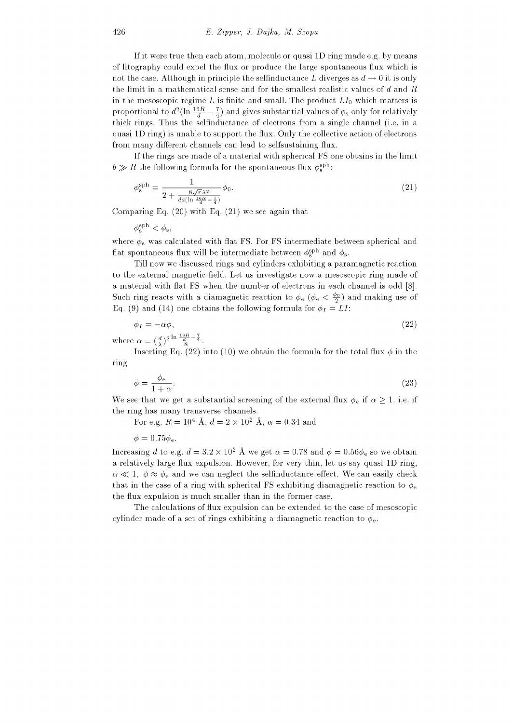If it were true then each atom, molecule or quasi 1D ring made e.g. by means of litography could expel the flux or produce the large spontaneous flux which is not the case. Although in principle the selfinductance L diverges as  $d \to 0$  it is only the limit in a mathematical sense and for the smallest realistic values of  $d$  and  $R$ in the mesoscopic regime L is finite and small. The product  $LI_0$  which matters is proportional to  $d^2(\ln \frac{16R}{d} - \frac{7}{4})$  and gives substantial values of  $\phi_s$  only for relatively thick rings. Thus the selfinductance of electrons from a single channel (i.e. in a quasi 1D ring) is unable to support the flux. Only the collective action of electrons from many different channels can lead to selfsustaining flux.

If the rings are made of a material with spherical FS one obtains in the limit  $b \gg R$  the following formula for the spontaneous flux  $\phi_{s}^{\text{sph}}$ :

$$
\phi_s^{\text{sph}} = \frac{1}{2 + \frac{8\sqrt{\pi}\lambda^2}{da(\ln\frac{16R}{d} - \frac{7}{4})}} \phi_0.
$$
\n
$$
(21)
$$

Comparing Eq.  $(20)$  with Eq.  $(21)$  we see again that

 $\phi^{\mathrm{sph}}_{\circ} < \phi_{\mathrm{s}},$ 

where  $\phi_s$  was calculated with flat FS. For FS intermediate between spherical and flat spontaneous flux will be intermediate between  $\phi_s^{\text{sph}}$  and  $\phi_s$ .

Till now we discussed rings and cylinders exhibiting a paramagnetic reaction to the external magnetic field. Let us investigate now a mesoscopic ring made of a material with flat FS when the number of electrons in each channel is odd [8]. Such ring reacts with a diamagnetic reaction to  $\phi_e$  ( $\phi_e < \frac{\phi_0}{2}$ ) and making use of Eq. (9) and (14) one obtains the following formula for  $\phi_I = LI$ :

$$
\phi_I = -\alpha \phi,\tag{22}
$$

where  $\alpha = (\frac{d}{\lambda})^2 \frac{\ln \frac{16R}{d} - \frac{7}{4}}{8}$ .

Inserting Eq. (22) into (10) we obtain the formula for the total flux  $\phi$  in the ring

$$
\phi = \frac{\phi_e}{1 + \alpha}.\tag{23}
$$

We see that we get a substantial screening of the external flux  $\phi_e$  if  $\alpha > 1$ , i.e. if the ring has many transverse channels.

For e.g.  $R = 10^4$  Å,  $d = 2 \times 10^2$  Å,  $\alpha = 0.34$  and

 $\phi = 0.75\phi_{\rm e}$ .

Increasing d to e.g.  $d = 3.2 \times 10^2$  Å we get  $\alpha = 0.78$  and  $\phi = 0.56\phi_e$  so we obtain a relatively large flux expulsion. However, for very thin, let us say quasi 1D ring,  $\alpha \ll 1, \phi \approx \phi_e$  and we can neglect the selfinductance effect. We can easily check that in the case of a ring with spherical FS exhibiting diamagnetic reaction to  $\phi_e$ the flux expulsion is much smaller than in the former case.

The calculations of flux expulsion can be extended to the case of mesoscopic cylinder made of a set of rings exhibiting a diamagnetic reaction to  $\phi_e$ .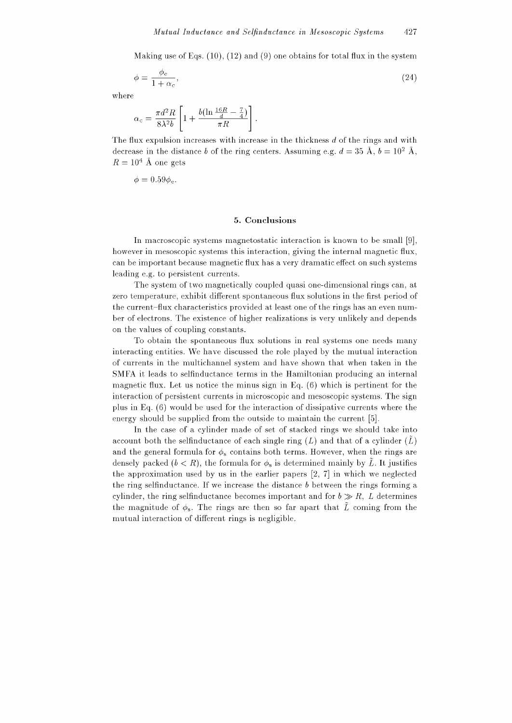Making use of Eqs.  $(10)$ ,  $(12)$  and  $(9)$  one obtains for total flux in the system

$$
\phi = \frac{\phi_e}{1 + \alpha_c},\tag{24}
$$

where

$$
\alpha_c = \frac{\pi d^2 R}{8\lambda^2 b} \left[ 1 + \frac{b(\ln \frac{16R}{d} - \frac{7}{4})}{\pi R} \right]
$$

The flux expulsion increases with increase in the thickness d of the rings and with decrease in the distance b of the ring centers. Assuming e.g.  $d = 35 \text{ Å}, b = 10^2 \text{ Å},$  $R = 10^4$  Å one gets

 $\phi = 0.59 \phi_{\rm e}$ .

## 5. Conclusions

In macroscopic systems magnetostatic interaction is known to be small [9]. however in mesoscopic systems this interaction, giving the internal magnetic flux, can be important because magnetic flux has a very dramatic effect on such systems leading e.g. to persistent currents.

The system of two magnetically coupled quasi one-dimensional rings can, at zero temperature, exhibit different spontaneous flux solutions in the first period of the current-flux characteristics provided at least one of the rings has an even number of electrons. The existence of higher realizations is very unlikely and depends on the values of coupling constants.

To obtain the spontaneous flux solutions in real systems one needs many interacting entities. We have discussed the role played by the mutual interaction of currents in the multichannel system and have shown that when taken in the SMFA it leads to selfinductance terms in the Hamiltonian producing an internal magnetic flux. Let us notice the minus sign in Eq.  $(6)$  which is pertinent for the interaction of persistent currents in microscopic and mesoscopic systems. The sign plus in Eq.  $(6)$  would be used for the interaction of dissipative currents where the energy should be supplied from the outside to maintain the current [5].

In the case of a cylinder made of set of stacked rings we should take into account both the selfinductance of each single ring  $(L)$  and that of a cylinder  $(L)$ and the general formula for  $\phi_s$  contains both terms. However, when the rings are densely packed  $(b < R)$ , the formula for  $\phi_s$  is determined mainly by  $\tilde{L}$ . It justifies the approximation used by us in the earlier papers  $[2, 7]$  in which we neglected the ring selfinductance. If we increase the distance  $b$  between the rings forming a cylinder, the ring selfinductance becomes important and for  $b \gg R$ , L determines the magnitude of  $\phi_s$ . The rings are then so far apart that  $\tilde{L}$  coming from the mutual interaction of different rings is negligible.